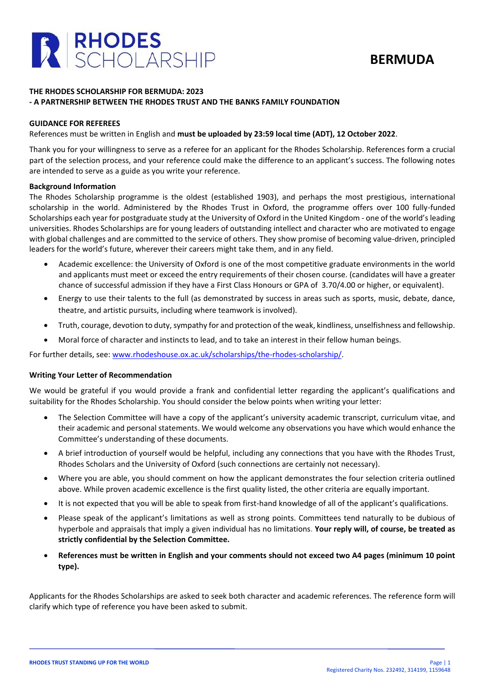

# **BERMUDA**

# **THE RHODES SCHOLARSHIP FOR BERMUDA: 2023 - A PARTNERSHIP BETWEEN THE RHODES TRUST AND THE BANKS FAMILY FOUNDATION**

## **GUIDANCE FOR REFEREES**

References must be written in English and **must be uploaded by 23:59 local time (ADT), 12 October 2022**.

Thank you for your willingness to serve as a referee for an applicant for the Rhodes Scholarship. References form a crucial part of the selection process, and your reference could make the difference to an applicant's success. The following notes are intended to serve as a guide as you write your reference.

#### **Background Information**

The Rhodes Scholarship programme is the oldest (established 1903), and perhaps the most prestigious, international scholarship in the world. Administered by the Rhodes Trust in Oxford, the programme offers over 100 fully-funded Scholarships each year for postgraduate study at the University of Oxford in the United Kingdom - one of the world's leading universities. Rhodes Scholarships are for young leaders of outstanding intellect and character who are motivated to engage with global challenges and are committed to the service of others. They show promise of becoming value-driven, principled leaders for the world's future, wherever their careers might take them, and in any field.

- Academic excellence: the University of Oxford is one of the most competitive graduate environments in the world and applicants must meet or exceed the entry requirements of their chosen course. (candidates will have a greater chance of successful admission if they have a First Class Honours or GPA of 3.70/4.00 or higher, or equivalent).
- Energy to use their talents to the full (as demonstrated by success in areas such as sports, music, debate, dance, theatre, and artistic pursuits, including where teamwork is involved).
- Truth, courage, devotion to duty, sympathy for and protection of the weak, kindliness, unselfishness and fellowship.
- Moral force of character and instincts to lead, and to take an interest in their fellow human beings.

For further details, see: [www.rhodeshouse.ox.ac.uk/scholarships/the-rhodes-scholarship/.](http://www.rhodeshouse.ox.ac.uk/scholarships/the-rhodes-scholarship/)

#### **Writing Your Letter of Recommendation**

We would be grateful if you would provide a frank and confidential letter regarding the applicant's qualifications and suitability for the Rhodes Scholarship. You should consider the below points when writing your letter:

- The Selection Committee will have a copy of the applicant's university academic transcript, curriculum vitae, and their academic and personal statements. We would welcome any observations you have which would enhance the Committee's understanding of these documents.
- A brief introduction of yourself would be helpful, including any connections that you have with the Rhodes Trust, Rhodes Scholars and the University of Oxford (such connections are certainly not necessary).
- Where you are able, you should comment on how the applicant demonstrates the four selection criteria outlined above. While proven academic excellence is the first quality listed, the other criteria are equally important.
- It is not expected that you will be able to speak from first-hand knowledge of all of the applicant's qualifications.
- Please speak of the applicant's limitations as well as strong points. Committees tend naturally to be dubious of hyperbole and appraisals that imply a given individual has no limitations. **Your reply will, of course, be treated as strictly confidential by the Selection Committee.**
- **References must be written in English and your comments should not exceed two A4 pages (minimum 10 point type).**

Applicants for the Rhodes Scholarships are asked to seek both character and academic references. The reference form will clarify which type of reference you have been asked to submit.